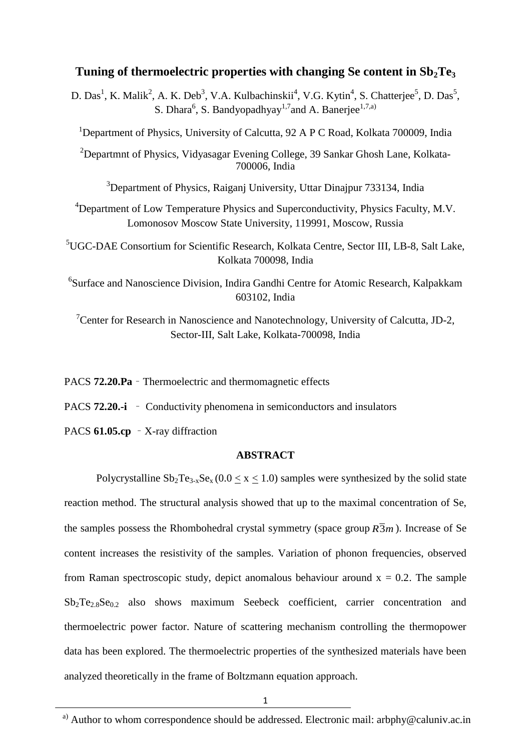# **Tuning of thermoelectric properties with changing Se content in Sb2Te<sup>3</sup>**

D. Das<sup>1</sup>, K. Malik<sup>2</sup>, A. K. Deb<sup>3</sup>, V.A. Kulbachinskii<sup>4</sup>, V.G. Kytin<sup>4</sup>, S. Chatterjee<sup>5</sup>, D. Das<sup>5</sup>, S. Dhara<sup>6</sup>, S. Bandyopadhyay<sup>1,7</sup>and A. Banerjee<sup>1,7,a)</sup>

<sup>1</sup>Department of Physics, University of Calcutta, 92 A P C Road, Kolkata 700009, India

<sup>2</sup>Departmnt of Physics, Vidyasagar Evening College, 39 Sankar Ghosh Lane, Kolkata-700006, India

<sup>3</sup>Department of Physics, Raiganj University, Uttar Dinajpur 733134, India

<sup>4</sup>Department of Low Temperature Physics and Superconductivity, Physics Faculty, M.V. Lomonosov Moscow State University, 119991, Moscow, Russia

<sup>5</sup>UGC-DAE Consortium for Scientific Research, Kolkata Centre, Sector III, LB-8, Salt Lake, Kolkata 700098, India

6 Surface and Nanoscience Division, Indira Gandhi Centre for Atomic Research, Kalpakkam 603102, India

<sup>7</sup>Center for Research in Nanoscience and Nanotechnology, University of Calcutta, JD-2, Sector-III, Salt Lake, Kolkata-700098, India

PACS **72.20.Pa** – Thermoelectric and thermomagnetic effects

PACS **72.20.-i** – Conductivity phenomena in semiconductors and insulators

PACS **61.05.cp** – X-ray diffraction

## **ABSTRACT**

Polycrystalline  $Sb_2Te_{3-x}Se_x(0.0 \le x \le 1.0)$  samples were synthesized by the solid state reaction method. The structural analysis showed that up to the maximal concentration of Se, the samples possess the Rhombohedral crystal symmetry (space group  $R\overline{3}m$ ). Increase of Se content increases the resistivity of the samples. Variation of phonon frequencies, observed from Raman spectroscopic study, depict anomalous behaviour around  $x = 0.2$ . The sample  $Sb_2Te_{2.8}Se_{0.2}$  also shows maximum Seebeck coefficient, carrier concentration and thermoelectric power factor. Nature of scattering mechanism controlling the thermopower data has been explored. The thermoelectric properties of the synthesized materials have been analyzed theoretically in the frame of Boltzmann equation approach.

<sup>&</sup>lt;sup>a)</sup> Author to whom correspondence should be addressed. Electronic mail: arbphy@caluniv.ac.in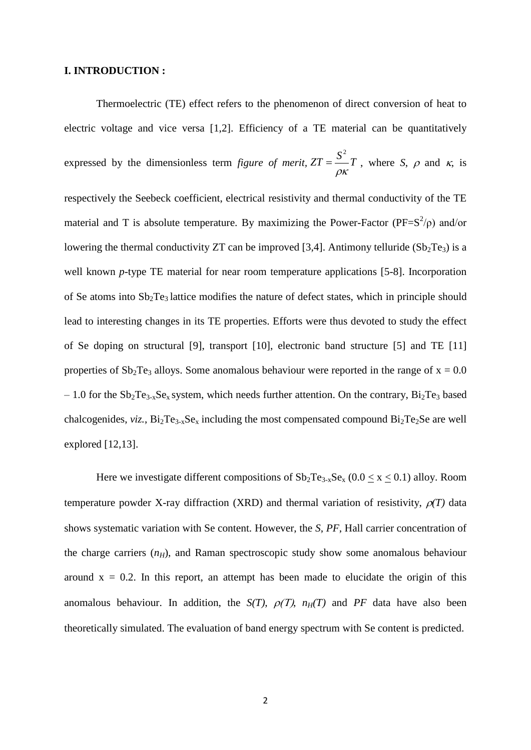## **I. INTRODUCTION :**

Thermoelectric (TE) effect refers to the phenomenon of direct conversion of heat to electric voltage and vice versa [1,2]. Efficiency of a TE material can be quantitatively expressed by the dimensionless term *figure of merit,*  $ZT = \frac{S^2}{I}T$  $\rho\kappa$  $=\frac{b}{r}T$ , where *S*,  $\rho$  and *k*, is respectively the Seebeck coefficient, electrical resistivity and thermal conductivity of the TE material and T is absolute temperature. By maximizing the Power-Factor ( $PF=S^2/\rho$ ) and/or lowering the thermal conductivity ZT can be improved [3,4]. Antimony telluride  $(Sb<sub>2</sub>Te<sub>3</sub>)$  is a well known *p*-type TE material for near room temperature applications [5-8]. Incorporation of Se atoms into  $Sb_2Te_3$  lattice modifies the nature of defect states, which in principle should lead to interesting changes in its TE properties. Efforts were thus devoted to study the effect of Se doping on structural [9], transport [10], electronic band structure [5] and TE [11] properties of  $Sb_2Te_3$  alloys. Some anomalous behaviour were reported in the range of  $x = 0.0$  $-1.0$  for the Sb<sub>2</sub>Te<sub>3-x</sub>Se<sub>x</sub> system, which needs further attention. On the contrary, Bi<sub>2</sub>Te<sub>3</sub> based chalcogenides, *viz.*,  $Bi_2Te_{3-x}Se_x$  including the most compensated compound  $Bi_2Te_2Se$  are well explored [12,13].

Here we investigate different compositions of  $Sb_2Te_{3-x}Se_x (0.0 \le x \le 0.1)$  alloy. Room temperature powder X-ray diffraction (XRD) and thermal variation of resistivity,  $\rho(T)$  data shows systematic variation with Se content. However, the *S*, *PF*, Hall carrier concentration of the charge carriers  $(n_H)$ , and Raman spectroscopic study show some anomalous behaviour around  $x = 0.2$ . In this report, an attempt has been made to elucidate the origin of this anomalous behaviour. In addition, the *S(T)*,  $\rho(T)$ ,  $n_H(T)$  and *PF* data have also been theoretically simulated. The evaluation of band energy spectrum with Se content is predicted.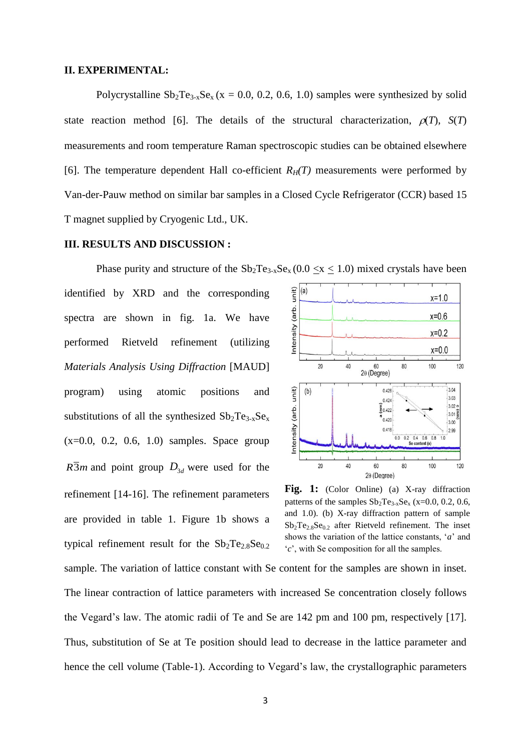### **II. EXPERIMENTAL:**

Polycrystalline  $Sb_2Te_{3-x}Se_x$  (x = 0.0, 0.2, 0.6, 1.0) samples were synthesized by solid state reaction method [6]. The details of the structural characterization,  $\rho(T)$ ,  $S(T)$ measurements and room temperature Raman spectroscopic studies can be obtained elsewhere [6]. The temperature dependent Hall co-efficient  $R_H(T)$  measurements were performed by Van-der-Pauw method on similar bar samples in a Closed Cycle Refrigerator (CCR) based 15 T magnet supplied by Cryogenic Ltd., UK.

## **III. RESULTS AND DISCUSSION :**

identified by XRD and the corresponding spectra are shown in fig. 1a. We have performed Rietveld refinement (utilizing *Materials Analysis Using Diffraction* [MAUD] program) using atomic positions and substitutions of all the synthesized  $Sb_2Te_{3-x}Se_x$  $(x=0.0, 0.2, 0.6, 1.0)$  samples. Space group  $R\overline{3}m$  and point group  $D_{3d}$  were used for the refinement [14-16]. The refinement parameters are provided in table 1. Figure 1b shows a typical refinement result for the  $Sb_2Te_2sSe_0.2$ 



**Fig. 1:** (Color Online) (a) X-ray diffraction patterns of the samples  $Sb_2Te_{3-x}Se_x$  (x=0.0, 0.2, 0.6, and 1.0). (b) X-ray diffraction pattern of sample  $Sb_2Te_{2.8}Se_{0.2}$  after Rietveld refinement. The inset shows the variation of the lattice constants, '*a*' and '*c*', with Se composition for all the samples.

sample. The variation of lattice constant with Se content for the samples are shown in inset. The linear contraction of lattice parameters with increased Se concentration closely follows the Vegard's law. The atomic radii of Te and Se are 142 pm and 100 pm, respectively [17]. Thus, substitution of Se at Te position should lead to decrease in the lattice parameter and hence the cell volume (Table-1). According to Vegard's law, the crystallographic parameters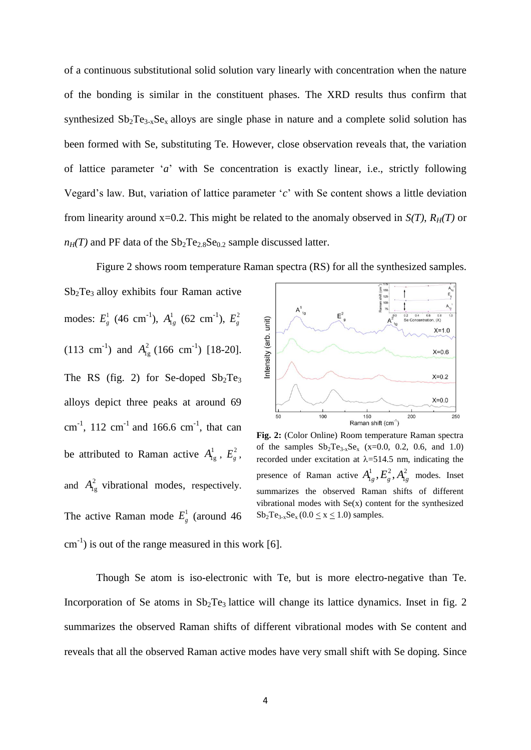of a continuous substitutional solid solution vary linearly with concentration when the nature of the bonding is similar in the constituent phases. The XRD results thus confirm that synthesized  $Sb_2Te_{3-x}Se_x$  alloys are single phase in nature and a complete solid solution has been formed with Se, substituting Te. However, close observation reveals that, the variation of lattice parameter '*a*' with Se concentration is exactly linear, i.e., strictly following Vegard's law. But, variation of lattice parameter '*c*' with Se content shows a little deviation from linearity around x=0.2. This might be related to the anomaly observed in  $S(T)$ ,  $R_H(T)$  or  $n_H$ (T) and PF data of the  $Sb_2Te_{2.8}Se_{0.2}$  sample discussed latter.

Figure 2 shows room temperature Raman spectra (RS) for all the synthesized samples.

 $Sb<sub>2</sub>Te<sub>3</sub>$  alloy exhibits four Raman active modes:  $E_g^1$  (46 cm<sup>-1</sup>),  $A_{1g}^1$  (62 cm<sup>-1</sup>),  $E_g^2$ (113 cm<sup>-1</sup>) and  $A_{1g}^2$  (166 cm<sup>-1</sup>) [18-20]. The RS (fig. 2) for Se-doped  $Sb_2Te_3$ alloys depict three peaks at around 69 cm<sup>-1</sup>, 112 cm<sup>-1</sup> and 166.6 cm<sup>-1</sup>, that can be attributed to Raman active  $A_{lg}^1$ ,  $E_g^2$ , and  $A_{1g}^2$  vibrational modes, respectively. The active Raman mode  $E_g^1$  (around 46)



**Fig. 2:** (Color Online) Room temperature Raman spectra of the samples  $Sb_2Te_{3-x}Se_x$  (x=0.0, 0.2, 0.6, and 1.0) recorded under excitation at  $\lambda$ =514.5 nm, indicating the presence of Raman active  $A_{1g}^1, E_g^2, A_{1g}^2$  modes. Inset summarizes the observed Raman shifts of different vibrational modes with  $Se(x)$  content for the synthesized  $Sb_2Te_{3-x}Se_x (0.0 \le x \le 1.0)$  samples.

 $\text{cm}^{-1}$ ) is out of the range measured in this work [6].

Though Se atom is iso-electronic with Te, but is more electro-negative than Te. Incorporation of Se atoms in  $Sb_2Te_3$  lattice will change its lattice dynamics. Inset in fig. 2 summarizes the observed Raman shifts of different vibrational modes with Se content and reveals that all the observed Raman active modes have very small shift with Se doping. Since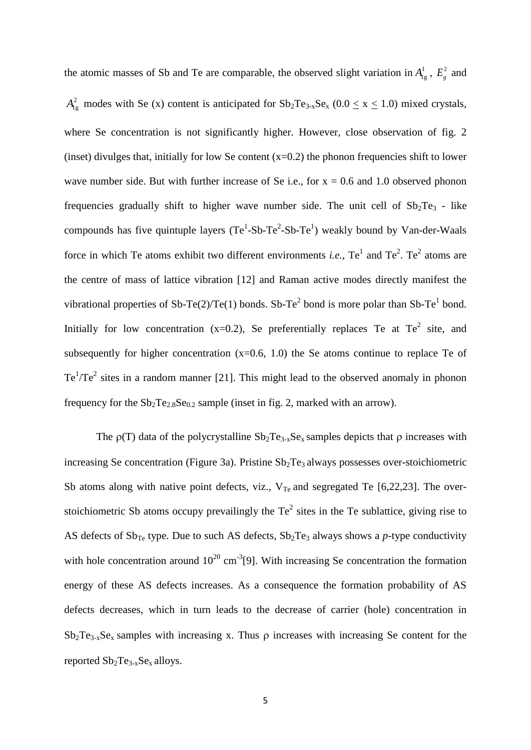the atomic masses of Sb and Te are comparable, the observed slight variation in  $A_{1g}^1$ ,  $E_g^2$  and  $A_{1g}^2$  modes with Se (x) content is anticipated for  $Sb_2Te_{3-x}Se_x$  (0.0  $\leq$  x  $\leq$  1.0) mixed crystals, where Se concentration is not significantly higher. However, close observation of fig. 2 (inset) divulges that, initially for low Se content  $(x=0.2)$  the phonon frequencies shift to lower wave number side. But with further increase of Se i.e., for  $x = 0.6$  and 1.0 observed phonon frequencies gradually shift to higher wave number side. The unit cell of  $Sb_2Te_3$  - like compounds has five quintuple layers  $(Te^1-Sb-Te^2-Sb-Te^1)$  weakly bound by Van-der-Waals force in which Te atoms exhibit two different environments *i.e.*,  $Te^{1}$  and  $Te^{2}$ .  $Te^{2}$  atoms are the centre of mass of lattice vibration [12] and Raman active modes directly manifest the vibrational properties of Sb-Te(2)/Te(1) bonds. Sb-Te<sup>2</sup> bond is more polar than Sb-Te<sup>1</sup> bond. Initially for low concentration  $(x=0.2)$ , Se preferentially replaces Te at Te<sup>2</sup> site, and subsequently for higher concentration  $(x=0.6, 1.0)$  the Se atoms continue to replace Te of Te<sup>1</sup>/Te<sup>2</sup> sites in a random manner [21]. This might lead to the observed anomaly in phonon frequency for the  $Sb_2Te_{2.8}Se_{0.2}$  sample (inset in fig. 2, marked with an arrow).

The  $p(T)$  data of the polycrystalline  $Sb_2Te_{3-x}Se_x$  samples depicts that  $p$  increases with increasing Se concentration (Figure 3a). Pristine  $Sb<sub>2</sub>Te<sub>3</sub>$  always possesses over-stoichiometric Sb atoms along with native point defects, viz.,  $V_{Te}$  and segregated Te [6,22,23]. The overstoichiometric Sb atoms occupy prevailingly the  $Te<sup>2</sup>$  sites in the Te sublattice, giving rise to AS defects of  $Sb_{Te}$  type. Due to such AS defects,  $Sb_2Te_3$  always shows a *p*-type conductivity with hole concentration around  $10^{20}$  cm<sup>-3</sup>[9]. With increasing Se concentration the formation energy of these AS defects increases. As a consequence the formation probability of AS defects decreases, which in turn leads to the decrease of carrier (hole) concentration in  $Sb_2Te_{3-x}Se_x$  samples with increasing x. Thus  $\rho$  increases with increasing Se content for the reported  $Sb_2Te_{3-x}Se_x$  alloys.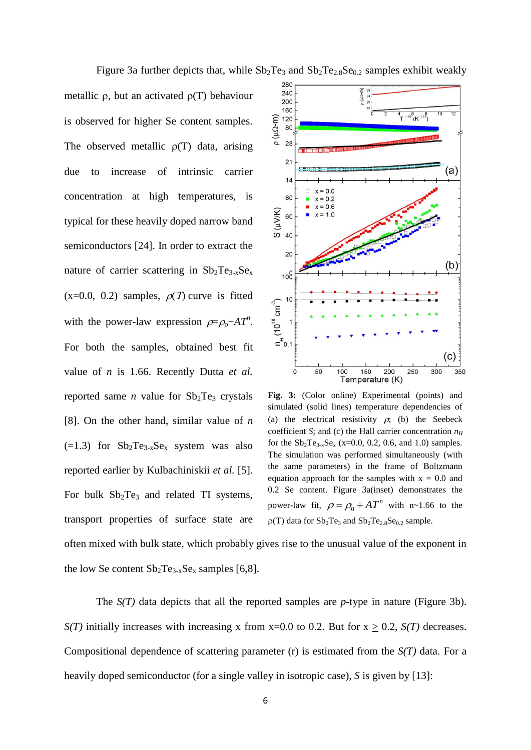Figure 3a further depicts that, while  $Sb_2Te_3$  and  $Sb_2Te_{2.8}Se_{0.2}$  samples exhibit weakly

metallic  $\rho$ , but an activated  $\rho(T)$  behaviour is observed for higher Se content samples. The observed metallic  $\rho(T)$  data, arising due to increase of intrinsic carrier concentration at high temperatures, is typical for these heavily doped narrow band semiconductors [24]. In order to extract the nature of carrier scattering in  $Sb_2Te_{3-x}Se_x$  $(x=0.0, 0.2)$  samples,  $\rho(T)$  curve is fitted with the power-law expression  $\rho = \rho_0 + AT^n$ . For both the samples, obtained best fit value of *n* is 1.66. Recently Dutta *et al.* reported same *n* value for  $Sb_2Te_3$  crystals [8]. On the other hand, similar value of *n*  $(-1.3)$  for  $Sb_2Te_{3-x}Se_x$  system was also reported earlier by Kulbachiniskii *et al.* [5]. For bulk  $Sb_2Te_3$  and related TI systems, transport properties of surface state are



**Fig. 3:** (Color online) Experimental (points) and simulated (solid lines) temperature dependencies of (a) the electrical resistivity  $\rho$ ; (b) the Seebeck coefficient *S*; and (c) the Hall carrier concentration  $n_H$ for the  $Sb_2Te_{3-x}Se_x$  (x=0.0, 0.2, 0.6, and 1.0) samples. The simulation was performed simultaneously (with the same parameters) in the frame of Boltzmann equation approach for the samples with  $x = 0.0$  and 0.2 Se content. Figure 3a(inset) demonstrates the power-law fit,  $\rho = \rho_0$  $\rho = \rho_0 + AT^n$  with n~1.66 to the  $p(T)$  data for  $Sb_2Te_3$  and  $Sb_2Te_2.8Se_{0.2}$  sample.

often mixed with bulk state, which probably gives rise to the unusual value of the exponent in the low Se content  $Sb_2Te_{3-x}Se_x$  samples [6,8].

The *S(T)* data depicts that all the reported samples are *p*-type in nature (Figure 3b). *S(T)* initially increases with increasing x from x=0.0 to 0.2. But for  $x \ge 0.2$ , *S(T)* decreases. Compositional dependence of scattering parameter (r) is estimated from the *S(T)* data. For a heavily doped semiconductor (for a single valley in isotropic case), *S* is given by [13]: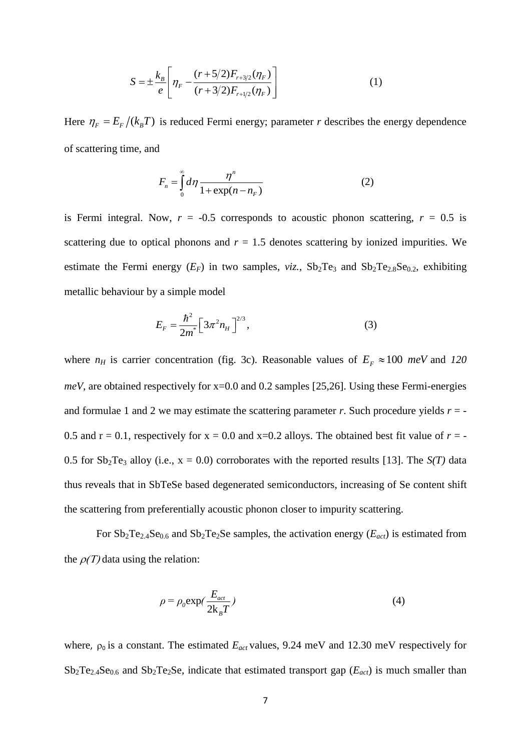$$
S = \pm \frac{k_B}{e} \left[ \eta_F - \frac{(r + 5/2)F_{r+3/2}(\eta_F)}{(r + 3/2)F_{r+1/2}(\eta_F)} \right]
$$
(1)

Here  $\eta_F = E_F / (k_B T)$  is reduced Fermi energy; parameter *r* describes the energy dependence of scattering time, and

$$
F_n = \int_0^\infty d\eta \frac{\eta^n}{1 + \exp(n - n_F)}\tag{2}
$$

is Fermi integral. Now,  $r = -0.5$  corresponds to acoustic phonon scattering,  $r = 0.5$  is scattering due to optical phonons and  $r = 1.5$  denotes scattering by ionized impurities. We estimate the Fermi energy  $(E_F)$  in two samples,  $viz.$ ,  $Sb_2Te_3$  and  $Sb_2Te_2sSe_{0.2}$ , exhibiting metallic behaviour by a simple model

$$
E_F = \frac{\hbar^2}{2m^*} \left[ 3\pi^2 n_H \right]^{2/3},\tag{3}
$$

where  $n_H$  is carrier concentration (fig. 3c). Reasonable values of  $E_F \approx 100$  *meV* and 120 *meV*, are obtained respectively for x=0.0 and 0.2 samples [25,26]. Using these Fermi-energies and formulae 1 and 2 we may estimate the scattering parameter  $r$ . Such procedure yields  $r = -$ 0.5 and  $r = 0.1$ , respectively for  $x = 0.0$  and  $x=0.2$  alloys. The obtained best fit value of  $r = -$ 0.5 for  $Sb_2Te_3$  alloy (i.e.,  $x = 0.0$ ) corroborates with the reported results [13]. The  $S(T)$  data thus reveals that in SbTeSe based degenerated semiconductors, increasing of Se content shift the scattering from preferentially acoustic phonon closer to impurity scattering.

For  $Sb_2Te_{2.4}Se_{0.6}$  and  $Sb_2Te_2Se$  samples, the activation energy ( $E_{act}$ ) is estimated from the  $\rho(T)$  data using the relation:

$$
\rho = \rho_0 \exp(\frac{E_{act}}{2k_B T})
$$
\n(4)

where,  $\rho_0$  is a constant. The estimated  $E_{act}$  values, 9.24 meV and 12.30 meV respectively for  $Sb_2Te_{2.4}Se_{0.6}$  and  $Sb_2Te_2Se$ , indicate that estimated transport gap ( $E_{act}$ ) is much smaller than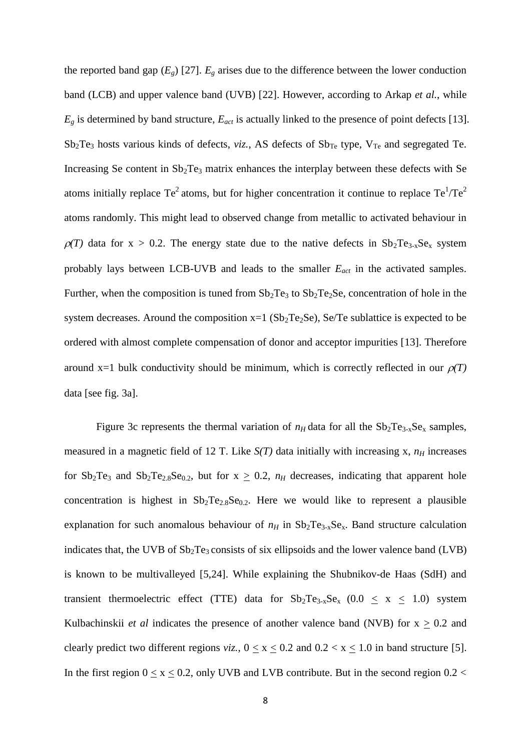the reported band gap  $(E_g)$  [27].  $E_g$  arises due to the difference between the lower conduction band (LCB) and upper valence band (UVB) [22]. However, according to Arkap *et al.*, while  $E_g$  is determined by band structure,  $E_{act}$  is actually linked to the presence of point defects [13].  $Sb_2Te_3$  hosts various kinds of defects, *viz.*, AS defects of  $Sb_{Te}$  type,  $V_{Te}$  and segregated Te. Increasing Se content in  $Sb_2Te_3$  matrix enhances the interplay between these defects with Se atoms initially replace Te<sup>2</sup> atoms, but for higher concentration it continue to replace Te<sup>1</sup>/Te<sup>2</sup> atoms randomly. This might lead to observed change from metallic to activated behaviour in  $\rho(T)$  data for x > 0.2. The energy state due to the native defects in  $Sb_2Te_{3-x}Se_x$  system probably lays between LCB-UVB and leads to the smaller *Eact* in the activated samples. Further, when the composition is tuned from  $Sb_2Te_3$  to  $Sb_2Te_2Se$ , concentration of hole in the system decreases. Around the composition  $x=1$  ( $Sb<sub>2</sub>Te<sub>2</sub>Se$ ), Se/Te sublattice is expected to be ordered with almost complete compensation of donor and acceptor impurities [13]. Therefore around  $x=1$  bulk conductivity should be minimum, which is correctly reflected in our  $\rho(T)$ data [see fig. 3a].

Figure 3c represents the thermal variation of  $n_H$  data for all the  $Sb_2Te_{3-x}Se_x$  samples, measured in a magnetic field of 12 T. Like  $S(T)$  data initially with increasing x,  $n_H$  increases for  $Sb_2Te_3$  and  $Sb_2Te_{2.8}Se_{0.2}$ , but for  $x \ge 0.2$ ,  $n_H$  decreases, indicating that apparent hole concentration is highest in  $Sb_2Te_{2.8}Se_{0.2}$ . Here we would like to represent a plausible explanation for such anomalous behaviour of  $n_H$  in  $Sb_2Te_{3-x}Se_x$ . Band structure calculation indicates that, the UVB of  $Sb<sub>2</sub>Te<sub>3</sub>$  consists of six ellipsoids and the lower valence band (LVB) is known to be multivalleyed [5,24]. While explaining the Shubnikov-de Haas (SdH) and transient thermoelectric effect (TTE) data for  $Sb_2Te_{3-x}Se_x$  (0.0  $\leq x \leq 1.0$ ) system Kulbachinskii *et al* indicates the presence of another valence band (NVB) for  $x \ge 0.2$  and clearly predict two different regions *viz.*,  $0 \le x \le 0.2$  and  $0.2 \le x \le 1.0$  in band structure [5]. In the first region  $0 \le x \le 0.2$ , only UVB and LVB contribute. But in the second region 0.2 <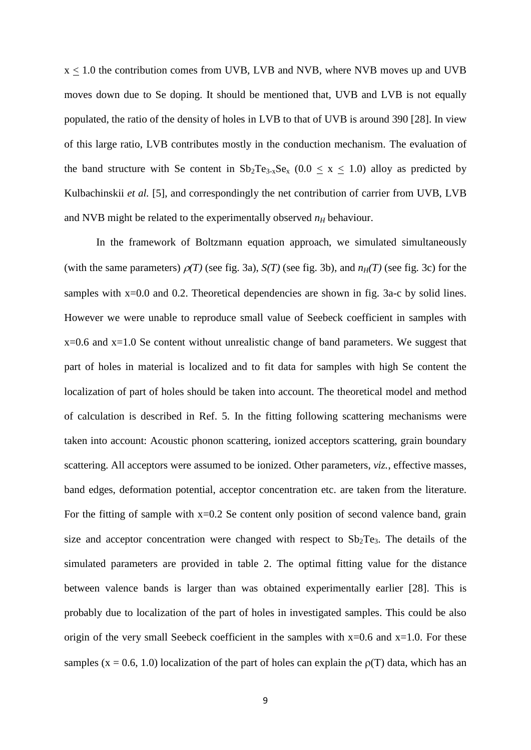$x \le 1.0$  the contribution comes from UVB, LVB and NVB, where NVB moves up and UVB moves down due to Se doping. It should be mentioned that, UVB and LVB is not equally populated, the ratio of the density of holes in LVB to that of UVB is around 390 [28]. In view of this large ratio, LVB contributes mostly in the conduction mechanism. The evaluation of the band structure with Se content in  $Sb_2Te_{3-x}Se_x$  (0.0  $\leq$  x  $\leq$  1.0) alloy as predicted by Kulbachinskii *et al.* [5], and correspondingly the net contribution of carrier from UVB, LVB and NVB might be related to the experimentally observed  $n_H$  behaviour.

In the framework of Boltzmann equation approach, we simulated simultaneously (with the same parameters)  $\rho(T)$  (see fig. 3a),  $S(T)$  (see fig. 3b), and  $n_H(T)$  (see fig. 3c) for the samples with x=0.0 and 0.2. Theoretical dependencies are shown in fig. 3a-c by solid lines. However we were unable to reproduce small value of Seebeck coefficient in samples with  $x=0.6$  and  $x=1.0$  Se content without unrealistic change of band parameters. We suggest that part of holes in material is localized and to fit data for samples with high Se content the localization of part of holes should be taken into account. The theoretical model and method of calculation is described in Ref. 5. In the fitting following scattering mechanisms were taken into account: Acoustic phonon scattering, ionized acceptors scattering, grain boundary scattering. All acceptors were assumed to be ionized. Other parameters, *viz.*, effective masses, band edges, deformation potential, acceptor concentration etc. are taken from the literature. For the fitting of sample with  $x=0.2$  Se content only position of second valence band, grain size and acceptor concentration were changed with respect to  $Sb_2Te_3$ . The details of the simulated parameters are provided in table 2. The optimal fitting value for the distance between valence bands is larger than was obtained experimentally earlier [28]. This is probably due to localization of the part of holes in investigated samples. This could be also origin of the very small Seebeck coefficient in the samples with  $x=0.6$  and  $x=1.0$ . For these samples (x = 0.6, 1.0) localization of the part of holes can explain the  $p(T)$  data, which has an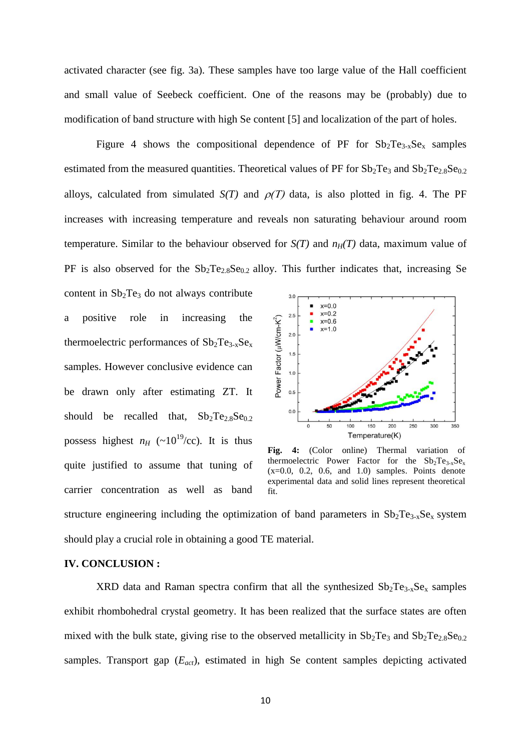activated character (see fig. 3a). These samples have too large value of the Hall coefficient and small value of Seebeck coefficient. One of the reasons may be (probably) due to modification of band structure with high Se content [5] and localization of the part of holes.

Figure 4 shows the compositional dependence of PF for  $Sb_2Te_{3-x}Se_x$  samples estimated from the measured quantities. Theoretical values of PF for  $Sb_2Te_3$  and  $Sb_2Te_{2.8}Se_{0.2}$ alloys, calculated from simulated  $S(T)$  and  $\rho(T)$  data, is also plotted in fig. 4. The PF increases with increasing temperature and reveals non saturating behaviour around room temperature. Similar to the behaviour observed for  $S(T)$  and  $n_H(T)$  data, maximum value of PF is also observed for the  $Sb_2Te_{2.8}Se_{0.2}$  alloy. This further indicates that, increasing Se

content in  $Sb<sub>2</sub>Te<sub>3</sub>$  do not always contribute a positive role in increasing the thermoelectric performances of  $Sb_2Te_{3-x}Se_x$ samples. However conclusive evidence can be drawn only after estimating ZT. It should be recalled that,  $Sb_2Te_2sSe_{0.2}$ possess highest  $n_H$  (~10<sup>19</sup>/cc). It is thus quite justified to assume that tuning of carrier concentration as well as band



**Fig. 4:** (Color online) Thermal variation of thermoelectric Power Factor for the  $Sb_2Te_{3-x}Se_x$  $(x=0.0, 0.2, 0.6, and 1.0)$  samples. Points denote experimental data and solid lines represent theoretical fit.

structure engineering including the optimization of band parameters in  $Sb_2Te_{3-x}Se_x$  system should play a crucial role in obtaining a good TE material.

## **IV. CONCLUSION :**

XRD data and Raman spectra confirm that all the synthesized  $Sb_2Te_{3-x}Se_x$  samples exhibit rhombohedral crystal geometry. It has been realized that the surface states are often mixed with the bulk state, giving rise to the observed metallicity in  $Sb_2Te_3$  and  $Sb_2Te_2sSe_{0,2}$ samples. Transport gap (*Eact*), estimated in high Se content samples depicting activated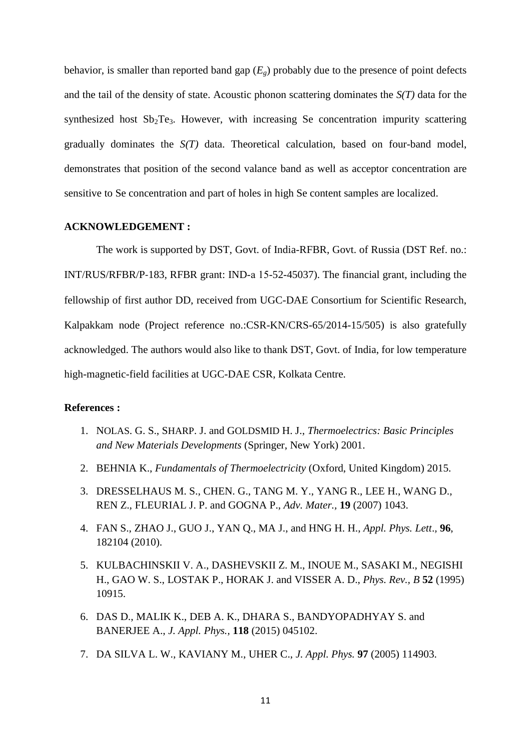behavior, is smaller than reported band gap  $(E_g)$  probably due to the presence of point defects and the tail of the density of state. Acoustic phonon scattering dominates the *S(T)* data for the synthesized host  $Sb_2Te_3$ . However, with increasing Se concentration impurity scattering gradually dominates the *S(T)* data. Theoretical calculation, based on four-band model, demonstrates that position of the second valance band as well as acceptor concentration are sensitive to Se concentration and part of holes in high Se content samples are localized.

### **ACKNOWLEDGEMENT :**

The work is supported by DST, Govt. of India-RFBR, Govt. of Russia (DST Ref. no.: INT/RUS/RFBR/P‐183, RFBR grant: IND-а 15-52-45037). The financial grant, including the fellowship of first author DD, received from UGC-DAE Consortium for Scientific Research, Kalpakkam node (Project reference no.:CSR-KN/CRS-65/2014-15/505) is also gratefully acknowledged. The authors would also like to thank DST, Govt. of India, for low temperature high-magnetic-field facilities at UGC-DAE CSR, Kolkata Centre.

## **References :**

- 1. NOLAS. G. S., SHARP. J. and GOLDSMID H. J., *Thermoelectrics: Basic Principles and New Materials Developments* (Springer, New York) 2001.
- 2. BEHNIA K., *Fundamentals of Thermoelectricity* (Oxford, United Kingdom) 2015.
- 3. DRESSELHAUS M. S., CHEN. G., TANG M. Y., YANG R., LEE H., WANG D., REN Z., FLEURIAL J. P. and GOGNA P., *Adv. Mater.,* **19** (2007) 1043.
- 4. FAN S., ZHAO J., GUO J., YAN Q., MA J., and HNG H. H., *Appl. Phys. Lett*.*,* **96**, 182104 (2010).
- 5. KULBACHINSKII V. A., DASHEVSKII Z. M., INOUE M., SASAKI M., NEGISHI H., GAO W. S., LOSTAK P., HORAK J. and VISSER A. D., *Phys. Rev., B* **52** (1995) 10915.
- 6. DAS D., MALIK K., DEB A. K., DHARA S., BANDYOPADHYAY S. and BANERJEE A., *J. Appl. Phys.,* **118** (2015) 045102.
- 7. DA SILVA L. W., KAVIANY M., UHER C., *J. Appl. Phys.* **97** (2005) 114903.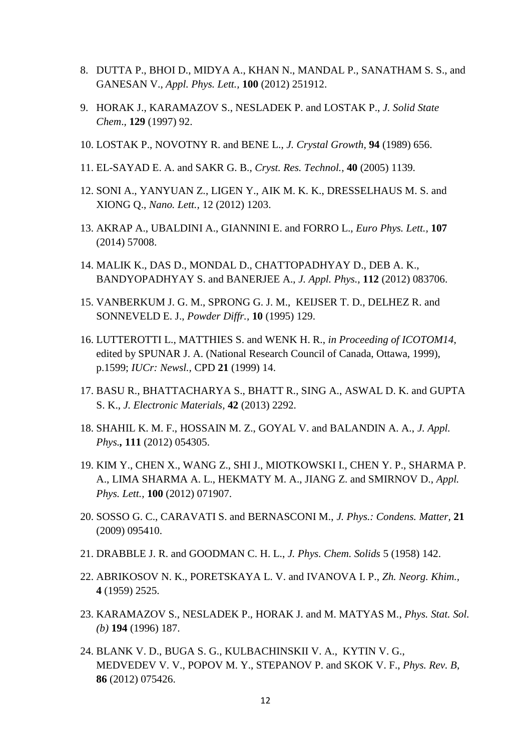- 8. DUTTA P., BHOI D., MIDYA A., KHAN N., MANDAL P., SANATHAM S. S., and GANESAN V., *Appl. Phys. Lett.,* **100** (2012) 251912.
- 9. HORAK J., KARAMAZOV S., NESLADEK P. and LOSTAK P., *J. Solid State Chem*.*,* **129** (1997) 92.
- 10. LOSTAK P., NOVOTNY R. and BENE L., *J. Crystal Growth,* **94** (1989) 656.
- 11. EL-SAYAD E. A. and SAKR G. B., *Cryst. Res. Technol.,* **40** (2005) 1139.
- 12. SONI A., YANYUAN Z., LIGEN Y., AIK M. K. K., DRESSELHAUS M. S. and XIONG Q., *Nano. Lett.,* 12 (2012) 1203.
- 13. AKRAP A., UBALDINI A., GIANNINI E. and FORRO L., *Euro Phys. Lett.,* **107** (2014) 57008.
- 14. MALIK K., DAS D., MONDAL D., CHATTOPADHYAY D., DEB A. K., BANDYOPADHYAY S. and BANERJEE A., *J. Appl. Phys.,* **112** (2012) 083706.
- 15. VANBERKUM J. G. M., SPRONG G. J. M., KEIJSER T. D., DELHEZ R. and SONNEVELD E. J., *Powder Diffr.,* **10** (1995) 129.
- 16. LUTTEROTTI L., MATTHIES S. and WENK H. R., *in Proceeding of ICOTOM14*, edited by SPUNAR J. A. (National Research Council of Canada, Ottawa, 1999), p.1599; *IUCr: Newsl.,* CPD **21** (1999) 14.
- 17. BASU R., BHATTACHARYA S., BHATT R., SING A., ASWAL D. K. and GUPTA S. K., *J. Electronic Materials,* **42** (2013) 2292.
- 18. SHAHIL K. M. F., HOSSAIN M. Z., GOYAL V. and BALANDIN A. A., *J. Appl. Phys.,* **111** (2012) 054305.
- 19. KIM Y., CHEN X., WANG Z., SHI J., MIOTKOWSKI I., CHEN Y. P., SHARMA P. A., LIMA SHARMA A. L., HEKMATY M. A., JIANG Z. and SMIRNOV D., *Appl. Phys. Lett.,* **100** (2012) 071907.
- 20. SOSSO G. C., CARAVATI S. and BERNASCONI M., *J. Phys.: Condens. Matter,* **21** (2009) 095410.
- 21. DRABBLE J. R. and GOODMAN C. H. L., *J. Phys. Chem. Solids* 5 (1958) 142.
- 22. ABRIKOSOV N. K., PORETSKAYA L. V. and IVANOVA I. P., *Zh. Neorg. Khim.,*  **4** (1959) 2525.
- 23. KARAMAZOV S., NESLADEK P., HORAK J. and M. MATYAS M., *Phys. Stat. Sol. (b)* **194** (1996) 187.
- 24. BLANK V. D., BUGA S. G., KULBACHINSKII V. A., KYTIN V. G., MEDVEDEV V. V., POPOV M. Y., STEPANOV P. and SKOK V. F., *Phys. Rev. B,* **86** (2012) 075426.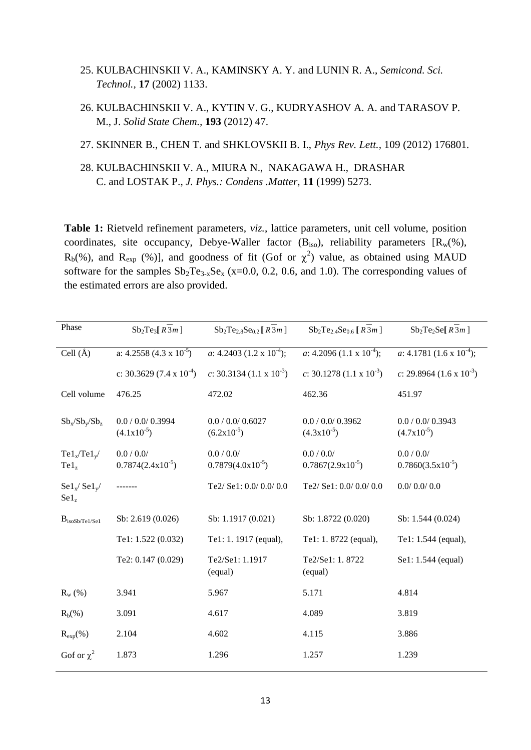- 25. KULBACHINSKII V. A., KAMINSKY A. Y. and LUNIN R. A., *Semicond. Sci. Technol.,* **17** (2002) 1133.
- 26. KULBACHINSKII V. A., KYTIN V. G., KUDRYASHOV A. A. and TARASOV P. M., J. *Solid State Chem.,* **193** (2012) 47.
- 27. SKINNER B., CHEN T. and SHKLOVSKII B. I., *Phys Rev. Lett.,* 109 (2012) 176801.
- 28. KULBACHINSKII V. A., MIURA N., NAKAGAWA H., DRASHAR C. and LOSTAK P., *J. Phys.: Condens .Matter,* **11** (1999) 5273.

**Table 1:** Rietveld refinement parameters, *viz.*, lattice parameters, unit cell volume, position coordinates, site occupancy, Debye-Waller factor  $(B_{iso})$ , reliability parameters  $[R_w(\%),$  $R_b$ (%), and  $R_{exp}$  (%)], and goodness of fit (Gof or  $\chi^2$ ) value, as obtained using MAUD software for the samples  $Sb_2Te_{3-x}Se_x$  (x=0.0, 0.2, 0.6, and 1.0). The corresponding values of the estimated errors are also provided.

| Phase                                           | $Sb_2Te_3[R3m]$                       | $Sb_2Te_{2.8}Se_{0.2}[R3m]$            | $Sb_2Te_{2.4}Se_{0.6}[R3m]$           | $Sb_2Te_2Se[R3m]$                     |
|-------------------------------------------------|---------------------------------------|----------------------------------------|---------------------------------------|---------------------------------------|
| Cell $(\AA)$                                    | a: $4.2558 (4.3 \times 10^{-5})$      | a: $4.2403$ (1.2 x 10 <sup>-4</sup> ); | a: $4.2096 (1.1 \times 10^{-4})$ ;    | a: $4.1781 (1.6 \times 10^{-4})$ ;    |
|                                                 | c: 30.3629 $(7.4 \times 10^{-4})$     | c: 30.3134 $(1.1 \times 10^{-3})$      | c: 30.1278 $(1.1 \times 10^{-3})$     | c: 29.8964 $(1.6 \times 10^{-3})$     |
| Cell volume                                     | 476.25                                | 472.02                                 | 462.36                                | 451.97                                |
| $Sb_x/Sb_v/Sb_z$                                | 0.0 / 0.0 / 0.3994<br>$(4.1x10^{-5})$ | 0.0 / 0.0 / 0.6027<br>$(6.2x10^{-5})$  | 0.0 / 0.0 / 0.3962<br>$(4.3x10^{-5})$ | 0.0 / 0.0 / 0.3943<br>$(4.7x10^{-5})$ |
| $Tel_x/Tel_y/$<br>$Te1_z$                       | $0.0/0.0/$<br>$0.7874(2.4x10^{-5})$   | $0.0/0.0/$<br>$0.7879(4.0x10^{-5})$    | 0.0 / 0.0/<br>$0.7867(2.9x10^{-5})$   | 0.0 / 0.0/<br>$0.7860(3.5x10^{-5})$   |
| $\text{Sel}_x / \text{Sel}_y$<br>$\text{Sel}_z$ |                                       | Te2/ Se1: 0.0/ 0.0/ 0.0                | Te2/ Se1: 0.0/ 0.0/ 0.0               | 0.0/0.0/0.0                           |
| $B_{isoSb/Te1/Se1}$                             | Sb: 2.619 (0.026)                     | Sb: 1.1917 (0.021)                     | Sb: 1.8722 (0.020)                    | Sb: 1.544 (0.024)                     |
|                                                 | Te1: 1.522 (0.032)                    | Te1: 1. 1917 (equal),                  | Te1: 1.8722 (equal),                  | Te1: 1.544 (equal),                   |
|                                                 | Te2: 0.147 (0.029)                    | Te2/Se1: 1.1917<br>(equal)             | Te2/Se1: 1.8722<br>(equal)            | Se1: 1.544 (equal)                    |
| $R_{w}$ (%)                                     | 3.941                                 | 5.967                                  | 5.171                                 | 4.814                                 |
| $R_b$ (%)                                       | 3.091                                 | 4.617                                  | 4.089                                 | 3.819                                 |
| $R_{exp}$ (%)                                   | 2.104                                 | 4.602                                  | 4.115                                 | 3.886                                 |
| Gof or $\chi^2$                                 | 1.873                                 | 1.296                                  | 1.257                                 | 1.239                                 |